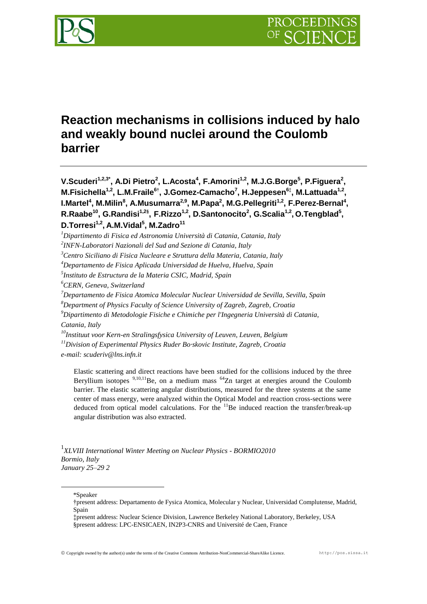

# **Reaction mechanisms in collisions induced by halo and weakly bound nuclei around the Coulomb barrier**

**V.Scuderi1,2,3\* , A.Di Pietro<sup>2</sup> , L.Acosta<sup>4</sup> , F.Amorini1,2, M.J.G.Borge<sup>5</sup> , P.Figuera<sup>2</sup> , M.Fisichella1,2, L.M.Fraile<sup>6</sup>† , J.Gomez-Camacho<sup>7</sup> , H.Jeppesen<sup>6</sup>‡ , M.Lattuada1,2 , I.Martel<sup>4</sup> , M.Milin<sup>8</sup> , A.Musumarra2,9 , M.Papa<sup>2</sup> , M.G.Pellegriti1,2, F.Perez-Bernal<sup>4</sup> , R.Raabe<sup>10</sup>, G.Randisi1,2§ , F.Rizzo1,2, D.Santonocito<sup>2</sup> , G.Scalia1,2 , O.Tengblad<sup>5</sup> , D.Torresi1,2 , A.M.Vidal<sup>5</sup> , M.Zadro<sup>11</sup>**

*<sup>10</sup>Instituut voor Kern-en Stralingsfysica University of Leuven, Leuven, Belgium <sup>11</sup>Division of Experimental Physics Ruder Bo·skovic Institute, Zagreb, Croatia e-mail: scuderiv@lns.infn.it*

Elastic scattering and direct reactions have been studied for the collisions induced by the three Beryllium isotopes  $9,10,11$ Be, on a medium mass  $64$ Zn target at energies around the Coulomb barrier. The elastic scattering angular distributions, measured for the three systems at the same center of mass energy, were analyzed within the Optical Model and reaction cross-sections were deduced from optical model calculations. For the  ${}^{11}$ Be induced reaction the transfer/break-up angular distribution was also extracted.

1 *XLVIII International Winter Meeting on Nuclear Physics - BORMIO2010 Bormio, Italy January 25–29 2*

\*Speaker

<u>.</u>

*<sup>1</sup>Dipartimento di Fisica ed Astronomia Università di Catania, Catania, Italy*

*<sup>2</sup> INFN-Laboratori Nazionali del Sud and Sezione di Catania, Italy*

*<sup>3</sup>Centro Siciliano di Fisica Nucleare e Struttura della Materia, Catania, Italy*

*<sup>4</sup>Departamento de Fisica Aplicada Universidad de Huelva, Huelva, Spain*

*<sup>5</sup> Instituto de Estructura de la Materia CSIC, Madrid, Spain*

*<sup>6</sup>CERN, Geneva, Switzerland*

*<sup>7</sup>Departamento de Fisica Atomica Molecular Nuclear Universidad de Sevilla, Sevilla, Spain*

*<sup>8</sup>Department of Physics Faculty of Science University of Zagreb, Zagreb, Croatia*

*<sup>9</sup>Dipartimento di Metodologie Fisiche e Chimiche per l'Ingegneria Università di Catania, Catania, Italy*

<sup>†</sup>present address: Departamento de Fysica Atomica, Molecular y Nuclear, Universidad Complutense, Madrid, Spain

<sup>‡</sup>present address: Nuclear Science Division, Lawrence Berkeley National Laboratory, Berkeley, USA §present address: LPC-ENSICAEN, IN2P3-CNRS and Université de Caen, France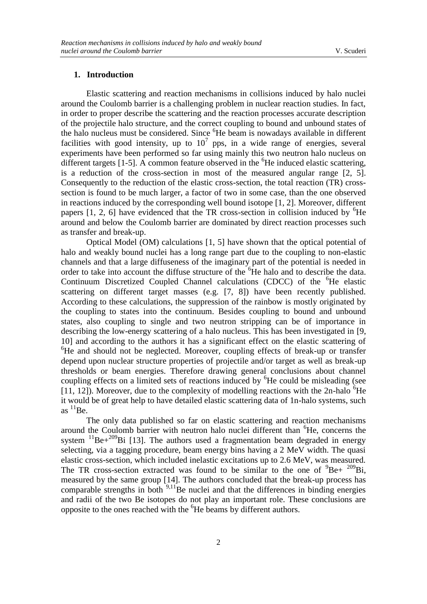## **1. Introduction**

Elastic scattering and reaction mechanisms in collisions induced by halo nuclei around the Coulomb barrier is a challenging problem in nuclear reaction studies. In fact, in order to proper describe the scattering and the reaction processes accurate description of the projectile halo structure, and the correct coupling to bound and unbound states of the halo nucleus must be considered. Since <sup>6</sup>He beam is nowadays available in different facilities with good intensity, up to  $10^7$  pps, in a wide range of energies, several experiments have been performed so far using mainly this two neutron halo nucleus on different targets  $[1-5]$ . A common feature observed in the  ${}^{6}$ He induced elastic scattering, is a reduction of the cross-section in most of the measured angular range [2, 5]. Consequently to the reduction of the elastic cross-section, the total reaction (TR) crosssection is found to be much larger, a factor of two in some case, than the one observed in reactions induced by the corresponding well bound isotope [1, 2]. Moreover, different papers  $[1, 2, 6]$  have evidenced that the TR cross-section in collision induced by  ${}^{6}$ He around and below the Coulomb barrier are dominated by direct reaction processes such as transfer and break-up.

Optical Model (OM) calculations [1, 5] have shown that the optical potential of halo and weakly bound nuclei has a long range part due to the coupling to non-elastic channels and that a large diffuseness of the imaginary part of the potential is needed in order to take into account the diffuse structure of the <sup>6</sup>He halo and to describe the data. Continuum Discretized Coupled Channel calculations (CDCC) of the <sup>6</sup>He elastic scattering on different target masses (e.g. [7, 8]) have been recently published. According to these calculations, the suppression of the rainbow is mostly originated by the coupling to states into the continuum. Besides coupling to bound and unbound states, also coupling to single and two neutron stripping can be of importance in describing the low-energy scattering of a halo nucleus. This has been investigated in [9, 10] and according to the authors it has a significant effect on the elastic scattering of  ${}^{6}$ He and should not be neglected. Moreover, coupling effects of break-up or transfer depend upon nuclear structure properties of projectile and/or target as well as break-up thresholds or beam energies. Therefore drawing general conclusions about channel coupling effects on a limited sets of reactions induced by <sup>6</sup>He could be misleading (see [11, 12]). Moreover, due to the complexity of modelling reactions with the  $2n$ -halo  ${}^{6}He$ it would be of great help to have detailed elastic scattering data of 1n-halo systems, such as  ${}^{11}$ Be.

The only data published so far on elastic scattering and reaction mechanisms around the Coulomb barrier with neutron halo nuclei different than  ${}^{6}$ He, concerns the system  $^{11}$ Be+ $^{209}$ Bi [13]. The authors used a fragmentation beam degraded in energy selecting, via a tagging procedure, beam energy bins having a 2 MeV width. The quasi elastic cross-section, which included inelastic excitations up to 2.6 MeV, was measured. The TR cross-section extracted was found to be similar to the one of  ${}^{9}Be + {}^{209}Bi$ , measured by the same group [14]. The authors concluded that the break-up process has comparable strengths in both  $9,11$ Be nuclei and that the differences in binding energies and radii of the two Be isotopes do not play an important role. These conclusions are opposite to the ones reached with the <sup>6</sup>He beams by different authors.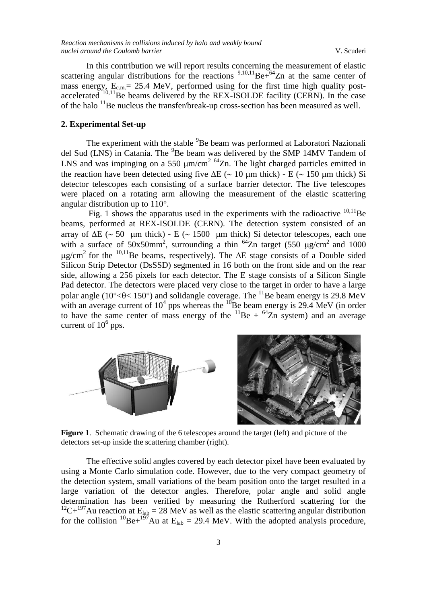In this contribution we will report results concerning the measurement of elastic scattering angular distributions for the reactions  $9,10,11$  Be+ $64$ Zn at the same center of mass energy,  $E_{c.m.}$  = 25.4 MeV, performed using for the first time high quality postaccelerated  $10,11$  Be beams delivered by the REX-ISOLDE facility (CERN). In the case of the halo  $<sup>11</sup>$ Be nucleus the transfer/break-up cross-section has been measured as well.</sup>

# **2. Experimental Set-up**

The experiment with the stable <sup>9</sup>Be beam was performed at Laboratori Nazionali del Sud (LNS) in Catania. The <sup>9</sup>Be beam was delivered by the SMP 14MV Tandem of LNS and was impinging on a 550  $\mu$ m/cm<sup>2 64</sup>Zn. The light charged particles emitted in the reaction have been detected using five  $\Delta E$  ( $\sim$  10 µm thick) - E ( $\sim$  150 µm thick) Si detector telescopes each consisting of a surface barrier detector. The five telescopes were placed on a rotating arm allowing the measurement of the elastic scattering angular distribution up to 110°.

Fig. 1 shows the apparatus used in the experiments with the radioactive  $^{10,11}$ Be beams, performed at REX-ISOLDE (CERN). The detection system consisted of an array of  $\Delta E$  ( $\sim$  50 µm thick) - E ( $\sim$  1500 µm thick) Si detector telescopes, each one with a surface of  $50x50mm^2$ , surrounding a thin <sup>64</sup>Zn target (550  $\mu$ g/cm<sup>2</sup> and 1000  $\mu$ g/cm<sup>2</sup> for the <sup>10,11</sup>Be beams, respectively). The  $\Delta E$  stage consists of a Double sided Silicon Strip Detector (DsSSD) segmented in 16 both on the front side and on the rear side, allowing a 256 pixels for each detector. The E stage consists of a Silicon Single Pad detector. The detectors were placed very close to the target in order to have a large polar angle ( $10^{\circ}$  <  $\theta$  <  $150^{\circ}$ ) and solidangle coverage. The <sup>11</sup>Be beam energy is 29.8 MeV with an average current of  $10^4$  pps whereas the  $^{10}$ Be beam energy is 29.4 MeV (in order to have the same center of mass energy of the  $^{11}$ Be +  $^{64}$ Zn system) and an average current of  $10^6$  pps.



**Figure 1**. Schematic drawing of the 6 telescopes around the target (left) and picture of the detectors set-up inside the scattering chamber (right).

The effective solid angles covered by each detector pixel have been evaluated by using a Monte Carlo simulation code. However, due to the very compact geometry of the detection system, small variations of the beam position onto the target resulted in a large variation of the detector angles. Therefore, polar angle and solid angle determination has been verified by measuring the Rutherford scattering for the <sup>12</sup>C+<sup>197</sup>Au reaction at E<sub>lab</sub> = 28 MeV as well as the elastic scattering angular distribution for the collision <sup>10</sup>Be+<sup>197</sup>Au at  $E_{lab} = 29.4$  MeV. With the adopted analysis procedure,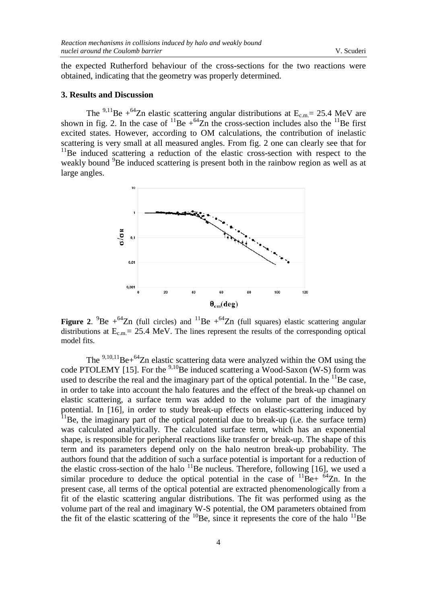the expected Rutherford behaviour of the cross-sections for the two reactions were obtained, indicating that the geometry was properly determined.

#### **3. Results and Discussion**

The <sup>9,11</sup>Be + <sup>64</sup>Zn elastic scattering angular distributions at  $E_{c.m.}$  = 25.4 MeV are shown in fig. 2. In the case of  ${}^{11}Be + {}^{64}Zn$  the cross-section includes also the  ${}^{11}Be$  first excited states. However, according to OM calculations, the contribution of inelastic scattering is very small at all measured angles. From fig. 2 one can clearly see that for  $11$ Be induced scattering a reduction of the elastic cross-section with respect to the weakly bound <sup>9</sup>Be induced scattering is present both in the rainbow region as well as at large angles.



**Figure 2.** <sup>9</sup>Be  $+$ <sup>64</sup>Zn (full circles) and <sup>11</sup>Be  $+$ <sup>64</sup>Zn (full squares) elastic scattering angular distributions at  $E_{c.m.} = 25.4$  MeV. The lines represent the results of the corresponding optical model fits.

The  $9,10,11$  Be+ $64$ Zn elastic scattering data were analyzed within the OM using the code PTOLEMY [15]. For the  $9,10$ Be induced scattering a Wood-Saxon (W-S) form was used to describe the real and the imaginary part of the optical potential. In the  $^{11}$ Be case, in order to take into account the halo features and the effect of the break-up channel on elastic scattering, a surface term was added to the volume part of the imaginary potential. In [16], in order to study break-up effects on elastic-scattering induced by  $11$ Be, the imaginary part of the optical potential due to break-up (i.e. the surface term) was calculated analytically. The calculated surface term, which has an exponential shape, is responsible for peripheral reactions like transfer or break-up. The shape of this term and its parameters depend only on the halo neutron break-up probability. The authors found that the addition of such a surface potential is important for a reduction of the elastic cross-section of the halo  $^{11}$ Be nucleus. Therefore, following [16], we used a similar procedure to deduce the optical potential in the case of  $^{11}$ Be+  $^{64}$ Zn. In the present case, all terms of the optical potential are extracted phenomenologically from a fit of the elastic scattering angular distributions. The fit was performed using as the volume part of the real and imaginary W-S potential, the OM parameters obtained from the fit of the elastic scattering of the  $^{10}$ Be, since it represents the core of the halo  $^{11}$ Be